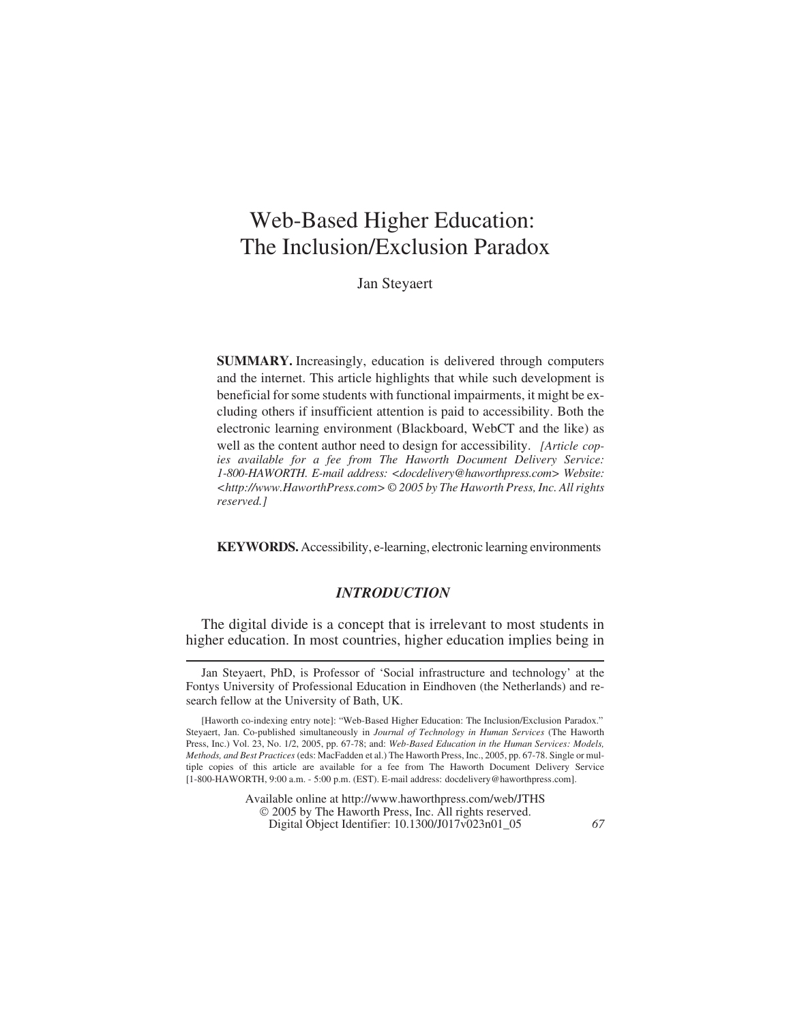# Web-Based Higher Education: The Inclusion/Exclusion Paradox

Jan Steyaert

**SUMMARY.** Increasingly, education is delivered through computers and the internet. This article highlights that while such development is beneficial for some students with functional impairments, it might be excluding others if insufficient attention is paid to accessibility. Both the electronic learning environment (Blackboard, WebCT and the like) as well as the content author need to design for accessibility. *[Article copies available for a fee from The Haworth Document Delivery Service: 1-800-HAWORTH. E-mail address: <docdelivery@haworthpress.com> Website: [<http://www.HaworthPress.com> © 2005](http://www.HaworthPress.com>�2005) by The Haworth Press, Inc. All rights reserved.]*

**KEYWORDS.** Accessibility, e-learning, electronic learning environments

# *INTRODUCTION*

The digital divide is a concept that is irrelevant to most students in higher education. In most countries, higher education implies being in

Available online at <http://www.haworthpress.com/web/JTHS> 2005 by The Haworth Press, Inc. All rights reserved. Digital Object Identifier: 10.1300/J017v023n01\_05 *67*

Jan Steyaert, PhD, is Professor of 'Social infrastructure and technology' at the Fontys University of Professional Education in Eindhoven (the Netherlands) and research fellow at the University of Bath, UK.

<sup>[</sup>Haworth co-indexing entry note]: "Web-Based Higher Education: The Inclusion/Exclusion Paradox." Steyaert, Jan. Co-published simultaneously in *Journal of Technology in Human Services* (The Haworth Press, Inc.) Vol. 23, No. 1/2, 2005, pp. 67-78; and: *Web-Based Education in the Human Services: Models, Methods, and Best Practices* (eds: MacFadden et al.) The Haworth Press, Inc., 2005, pp. 67-78. Single or multiple copies of this article are available for a fee from The Haworth Document Delivery Service [1-800-HAWORTH, 9:00 a.m. - 5:00 p.m. (EST). E-mail address: docdelivery@haworthpress.com].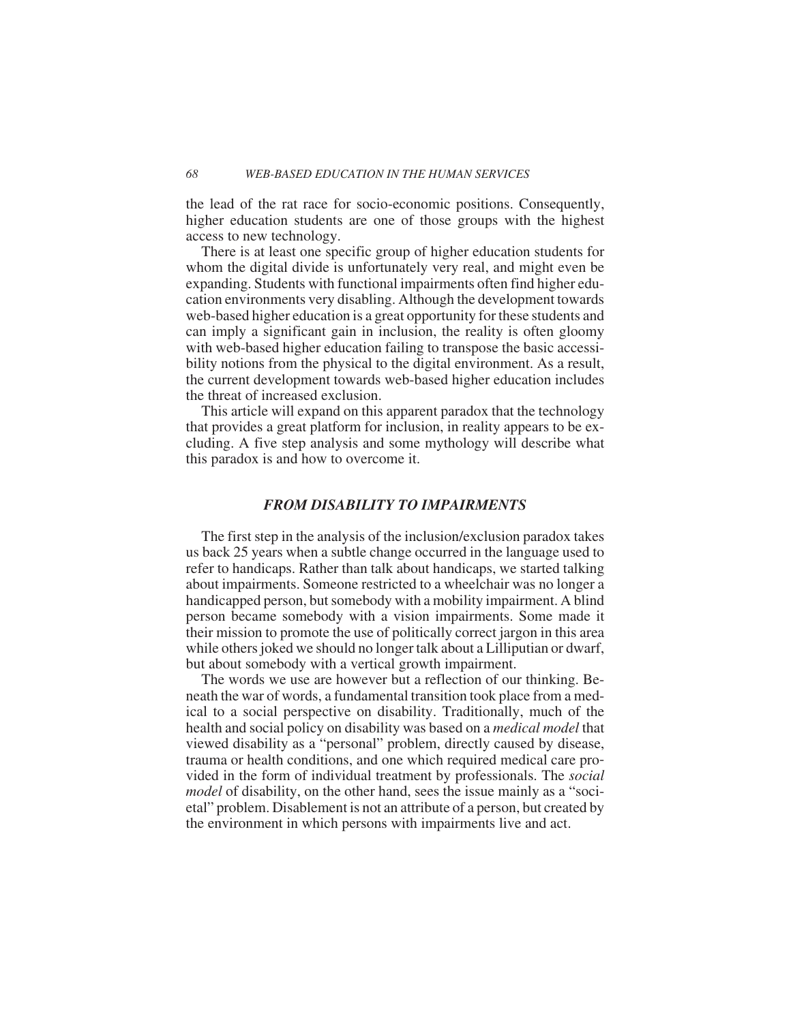the lead of the rat race for socio-economic positions. Consequently, higher education students are one of those groups with the highest access to new technology.

There is at least one specific group of higher education students for whom the digital divide is unfortunately very real, and might even be expanding. Students with functional impairments often find higher education environments very disabling. Although the development towards web-based higher education is a great opportunity for these students and can imply a significant gain in inclusion, the reality is often gloomy with web-based higher education failing to transpose the basic accessibility notions from the physical to the digital environment. As a result, the current development towards web-based higher education includes the threat of increased exclusion.

This article will expand on this apparent paradox that the technology that provides a great platform for inclusion, in reality appears to be excluding. A five step analysis and some mythology will describe what this paradox is and how to overcome it.

#### *FROM DISABILITY TO IMPAIRMENTS*

The first step in the analysis of the inclusion/exclusion paradox takes us back 25 years when a subtle change occurred in the language used to refer to handicaps. Rather than talk about handicaps, we started talking about impairments. Someone restricted to a wheelchair was no longer a handicapped person, but somebody with a mobility impairment. A blind person became somebody with a vision impairments. Some made it their mission to promote the use of politically correct jargon in this area while others joked we should no longer talk about a Lilliputian or dwarf, but about somebody with a vertical growth impairment.

The words we use are however but a reflection of our thinking. Beneath the war of words, a fundamental transition took place from a medical to a social perspective on disability. Traditionally, much of the health and social policy on disability was based on a *medical model* that viewed disability as a "personal" problem, directly caused by disease, trauma or health conditions, and one which required medical care provided in the form of individual treatment by professionals. The *social model* of disability, on the other hand, sees the issue mainly as a "soci-etal" problem. Disablement is not an attribute of a person, but created by the environment in which persons with impairments live and act.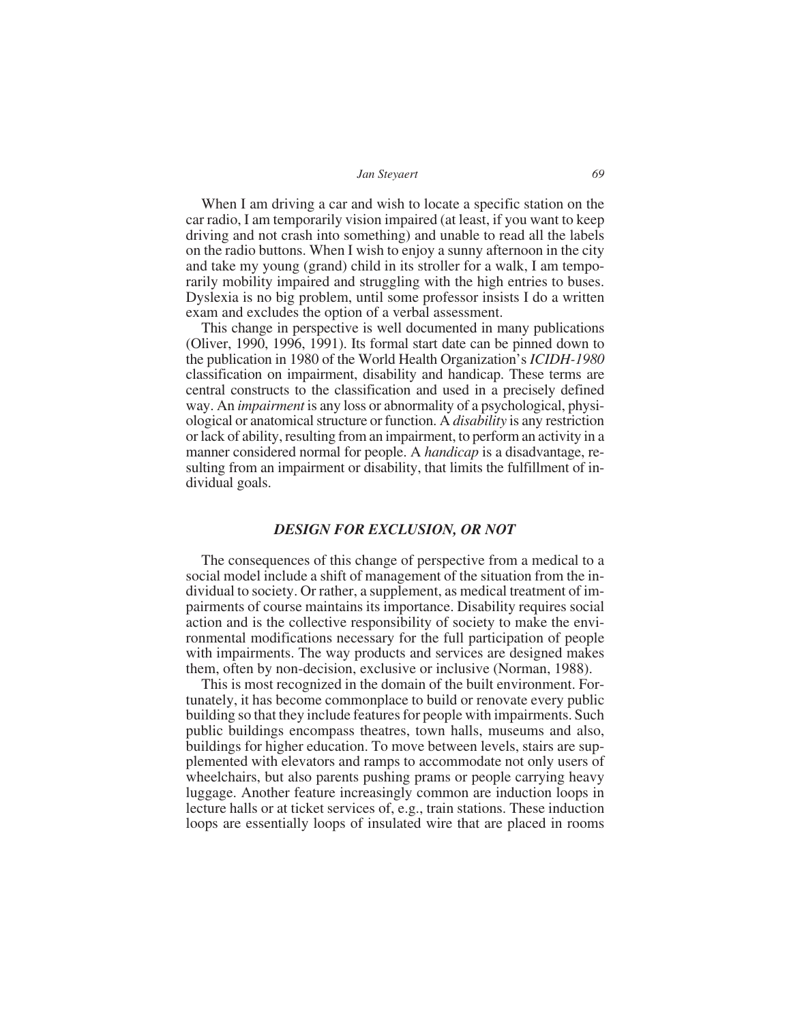When I am driving a car and wish to locate a specific station on the car radio, I am temporarily vision impaired (at least, if you want to keep driving and not crash into something) and unable to read all the labels on the radio buttons. When I wish to enjoy a sunny afternoon in the city and take my young (grand) child in its stroller for a walk, I am temporarily mobility impaired and struggling with the high entries to buses. Dyslexia is no big problem, until some professor insists I do a written exam and excludes the option of a verbal assessment.

This change in perspective is well documented in many publications (Oliver, 1990, 1996, 1991). Its formal start date can be pinned down to the publication in 1980 of the World Health Organization's *ICIDH-1980* classification on impairment, disability and handicap. These terms are central constructs to the classification and used in a precisely defined way. An *impairment* is any loss or abnormality of a psychological, physiological or anatomical structure or function. A *disability* is any restriction or lack of ability, resulting from an impairment, to perform an activity in a manner considered normal for people. A *handicap* is a disadvantage, resulting from an impairment or disability, that limits the fulfillment of individual goals.

## *DESIGN FOR EXCLUSION, OR NOT*

The consequences of this change of perspective from a medical to a social model include a shift of management of the situation from the individual to society. Or rather, a supplement, as medical treatment of impairments of course maintains its importance. Disability requires social action and is the collective responsibility of society to make the environmental modifications necessary for the full participation of people with impairments. The way products and services are designed makes them, often by non-decision, exclusive or inclusive (Norman, 1988).

This is most recognized in the domain of the built environment. Fortunately, it has become commonplace to build or renovate every public building so that they include features for people with impairments. Such public buildings encompass theatres, town halls, museums and also, buildings for higher education. To move between levels, stairs are supplemented with elevators and ramps to accommodate not only users of wheelchairs, but also parents pushing prams or people carrying heavy luggage. Another feature increasingly common are induction loops in lecture halls or at ticket services of, e.g., train stations. These induction loops are essentially loops of insulated wire that are placed in rooms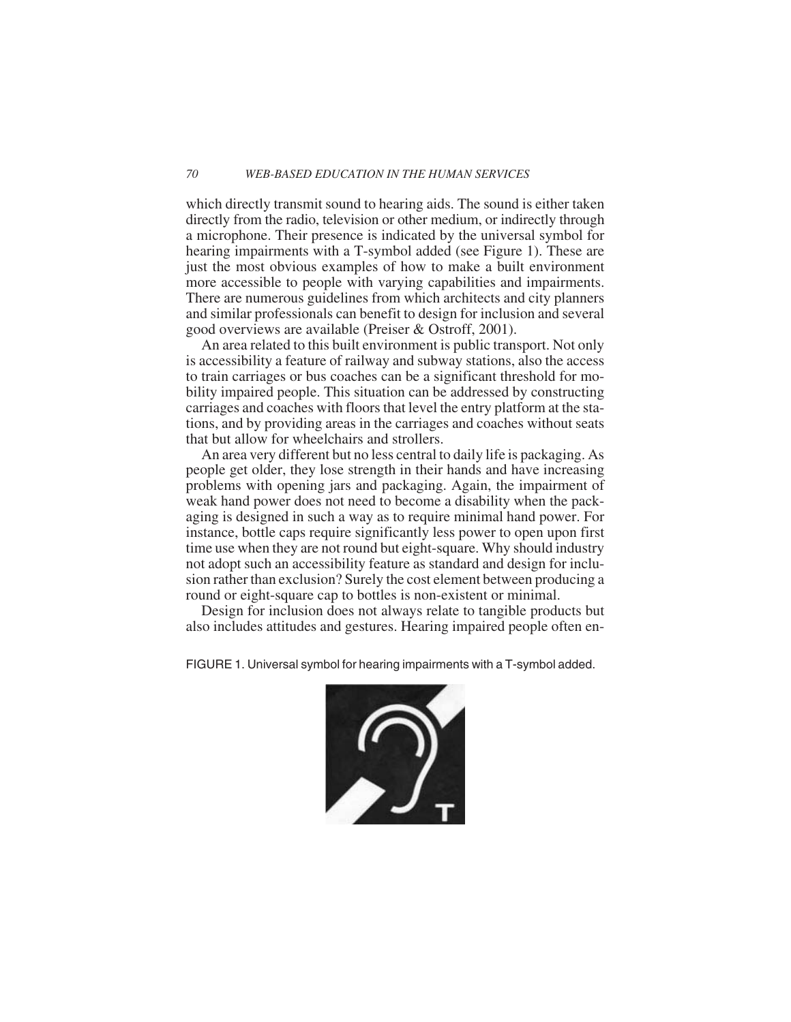#### *70 WEB-BASED EDUCATION IN THE HUMAN SERVICES*

which directly transmit sound to hearing aids. The sound is either taken directly from the radio, television or other medium, or indirectly through a microphone. Their presence is indicated by the universal symbol for hearing impairments with a T-symbol added (see Figure 1). These are just the most obvious examples of how to make a built environment more accessible to people with varying capabilities and impairments. There are numerous guidelines from which architects and city planners and similar professionals can benefit to design for inclusion and several good overviews are available (Preiser & Ostroff, 2001).

An area related to this built environment is public transport. Not only is accessibility a feature of railway and subway stations, also the access to train carriages or bus coaches can be a significant threshold for mobility impaired people. This situation can be addressed by constructing carriages and coaches with floors that level the entry platform at the stations, and by providing areas in the carriages and coaches without seats that but allow for wheelchairs and strollers.

An area very different but no less central to daily life is packaging. As people get older, they lose strength in their hands and have increasing problems with opening jars and packaging. Again, the impairment of weak hand power does not need to become a disability when the packaging is designed in such a way as to require minimal hand power. For instance, bottle caps require significantly less power to open upon first time use when they are not round but eight-square. Why should industry not adopt such an accessibility feature as standard and design for inclusion rather than exclusion? Surely the cost element between producing a round or eight-square cap to bottles is non-existent or minimal.

Design for inclusion does not always relate to tangible products but also includes attitudes and gestures. Hearing impaired people often en-

FIGURE 1. Universal symbol for hearing impairments with a T-symbol added.

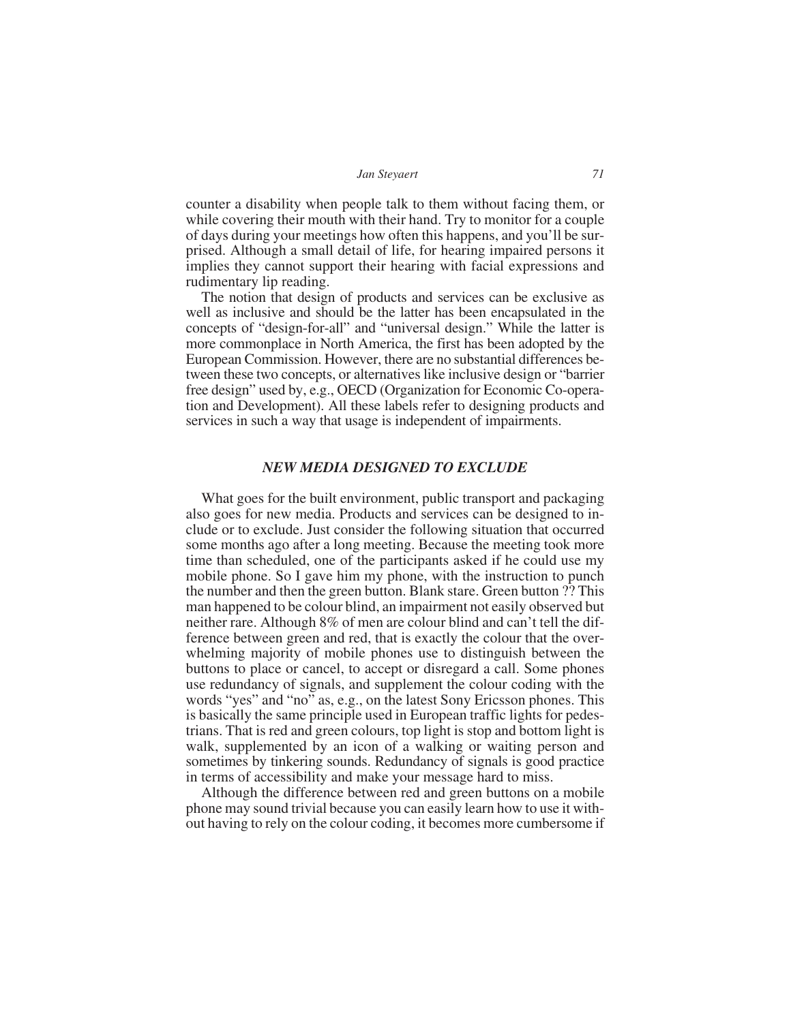counter a disability when people talk to them without facing them, or while covering their mouth with their hand. Try to monitor for a couple of days during your meetings how often this happens, and you'll be surprised. Although a small detail of life, for hearing impaired persons it implies they cannot support their hearing with facial expressions and rudimentary lip reading.

The notion that design of products and services can be exclusive as well as inclusive and should be the latter has been encapsulated in the concepts of "design-for-all" and "universal design." While the latter is more commonplace in North America, the first has been adopted by the European Commission. However, there are no substantial differences between these two concepts, or alternatives like inclusive design or "barrier free design" used by, e.g., OECD (Organization for Economic Co-operation and Development). All these labels refer to designing products and services in such a way that usage is independent of impairments.

# *NEW MEDIA DESIGNED TO EXCLUDE*

What goes for the built environment, public transport and packaging also goes for new media. Products and services can be designed to include or to exclude. Just consider the following situation that occurred some months ago after a long meeting. Because the meeting took more time than scheduled, one of the participants asked if he could use my mobile phone. So I gave him my phone, with the instruction to punch the number and then the green button. Blank stare. Green button ?? This man happened to be colour blind, an impairment not easily observed but neither rare. Although 8% of men are colour blind and can't tell the difference between green and red, that is exactly the colour that the overwhelming majority of mobile phones use to distinguish between the buttons to place or cancel, to accept or disregard a call. Some phones use redundancy of signals, and supplement the colour coding with the words "yes" and "no" as, e.g., on the latest Sony Ericsson phones. This is basically the same principle used in European traffic lights for pedestrians. That is red and green colours, top light is stop and bottom light is walk, supplemented by an icon of a walking or waiting person and sometimes by tinkering sounds. Redundancy of signals is good practice in terms of accessibility and make your message hard to miss.

Although the difference between red and green buttons on a mobile phone may sound trivial because you can easily learn how to use it without having to rely on the colour coding, it becomes more cumbersome if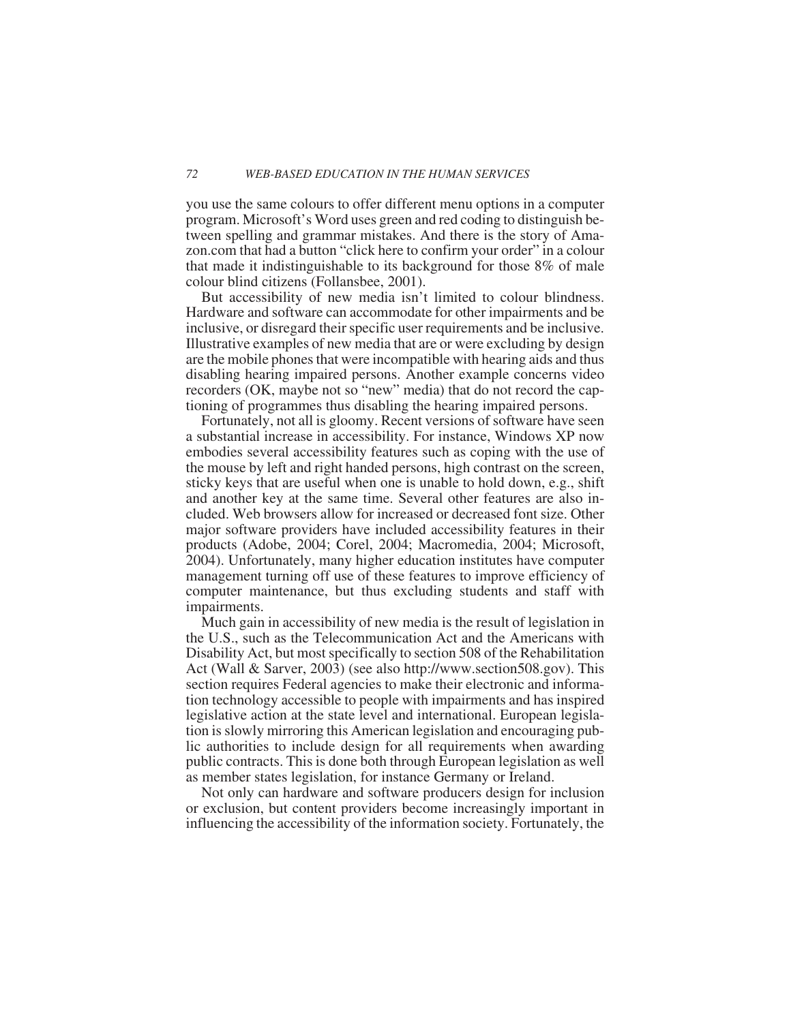you use the same colours to offer different menu options in a computer program. Microsoft's Word uses green and red coding to distinguish between spelling and grammar mistakes. And there is the story of Amazon.com that had a button "click here to confirm your order" in a colour that made it indistinguishable to its background for those 8% of male colour blind citizens (Follansbee, 2001).

But accessibility of new media isn't limited to colour blindness. Hardware and software can accommodate for other impairments and be inclusive, or disregard their specific user requirements and be inclusive. Illustrative examples of new media that are or were excluding by design are the mobile phones that were incompatible with hearing aids and thus disabling hearing impaired persons. Another example concerns video recorders (OK, maybe not so "new" media) that do not record the captioning of programmes thus disabling the hearing impaired persons.

Fortunately, not all is gloomy. Recent versions of software have seen a substantial increase in accessibility. For instance, Windows XP now embodies several accessibility features such as coping with the use of the mouse by left and right handed persons, high contrast on the screen, sticky keys that are useful when one is unable to hold down, e.g., shift and another key at the same time. Several other features are also included. Web browsers allow for increased or decreased font size. Other major software providers have included accessibility features in their products (Adobe, 2004; Corel, 2004; Macromedia, 2004; Microsoft, 2004). Unfortunately, many higher education institutes have computer management turning off use of these features to improve efficiency of computer maintenance, but thus excluding students and staff with impairments.

Much gain in accessibility of new media is the result of legislation in the U.S., such as the Telecommunication Act and the Americans with Disability Act, but most specifically to section 508 of the Rehabilitation Act (Wall & Sarver, 2003) (see also<http://www.section508.gov>). This section requires Federal agencies to make their electronic and information technology accessible to people with impairments and has inspired legislative action at the state level and international. European legislation is slowly mirroring this American legislation and encouraging public authorities to include design for all requirements when awarding public contracts. This is done both through European legislation as well as member states legislation, for instance Germany or Ireland.

Not only can hardware and software producers design for inclusion or exclusion, but content providers become increasingly important in influencing the accessibility of the information society. Fortunately, the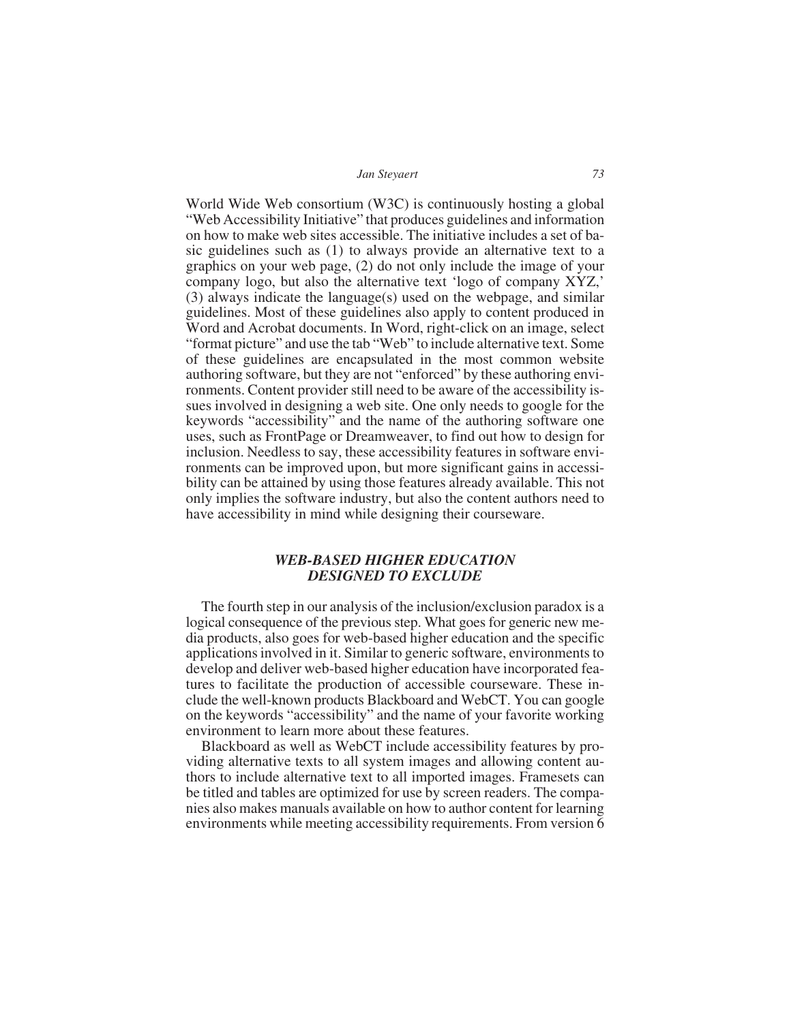World Wide Web consortium (W3C) is continuously hosting a global "Web Accessibility Initiative" that produces guidelines and information on how to make web sites accessible. The initiative includes a set of basic guidelines such as (1) to always provide an alternative text to a graphics on your web page, (2) do not only include the image of your company logo, but also the alternative text 'logo of company XYZ,' (3) always indicate the language(s) used on the webpage, and similar guidelines. Most of these guidelines also apply to content produced in Word and Acrobat documents. In Word, right-click on an image, select "format picture" and use the tab "Web" to include alternative text. Some of these guidelines are encapsulated in the most common website authoring software, but they are not "enforced" by these authoring environments. Content provider still need to be aware of the accessibility issues involved in designing a web site. One only needs to google for the keywords "accessibility" and the name of the authoring software one uses, such as FrontPage or Dreamweaver, to find out how to design for inclusion. Needless to say, these accessibility features in software environments can be improved upon, but more significant gains in accessibility can be attained by using those features already available. This not only implies the software industry, but also the content authors need to have accessibility in mind while designing their courseware.

# *WEB-BASED HIGHER EDUCATION DESIGNED TO EXCLUDE*

The fourth step in our analysis of the inclusion/exclusion paradox is a logical consequence of the previous step. What goes for generic new media products, also goes for web-based higher education and the specific applications involved in it. Similar to generic software, environments to develop and deliver web-based higher education have incorporated features to facilitate the production of accessible courseware. These include the well-known products Blackboard and WebCT. You can google on the keywords "accessibility" and the name of your favorite working environment to learn more about these features.

Blackboard as well as WebCT include accessibility features by providing alternative texts to all system images and allowing content authors to include alternative text to all imported images. Framesets can be titled and tables are optimized for use by screen readers. The companies also makes manuals available on how to author content for learning environments while meeting accessibility requirements. From version 6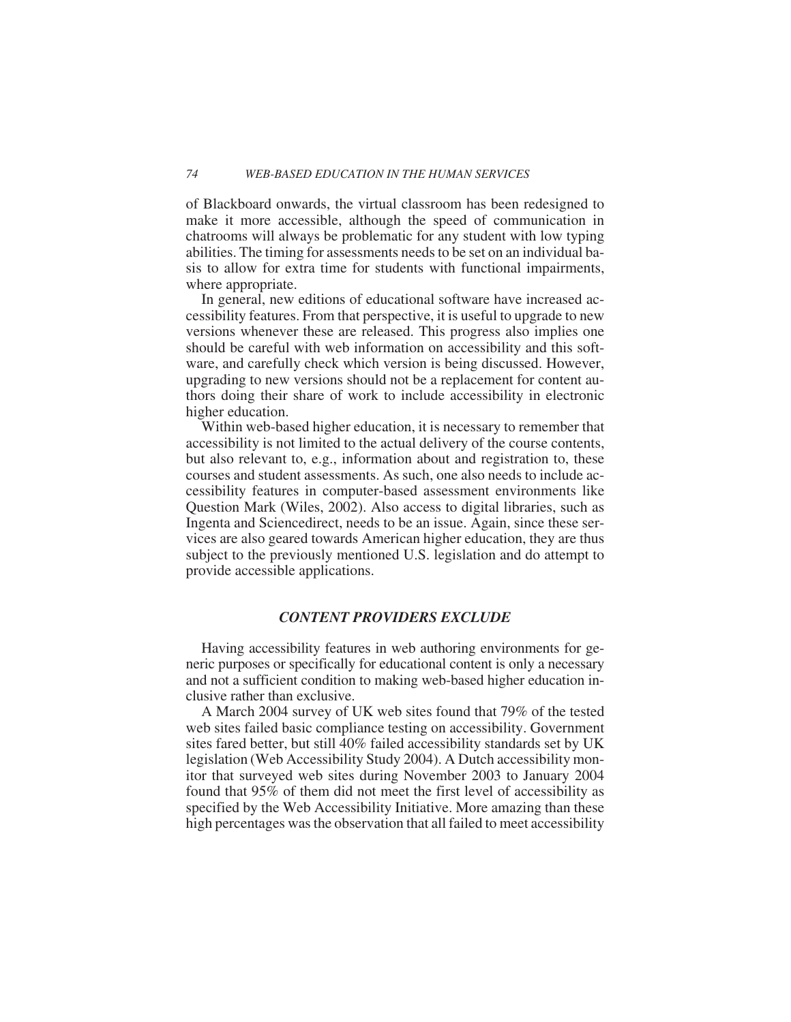of Blackboard onwards, the virtual classroom has been redesigned to make it more accessible, although the speed of communication in chatrooms will always be problematic for any student with low typing abilities. The timing for assessments needs to be set on an individual basis to allow for extra time for students with functional impairments, where appropriate.

In general, new editions of educational software have increased accessibility features. From that perspective, it is useful to upgrade to new versions whenever these are released. This progress also implies one should be careful with web information on accessibility and this software, and carefully check which version is being discussed. However, upgrading to new versions should not be a replacement for content authors doing their share of work to include accessibility in electronic higher education.

Within web-based higher education, it is necessary to remember that accessibility is not limited to the actual delivery of the course contents, but also relevant to, e.g., information about and registration to, these courses and student assessments. As such, one also needs to include accessibility features in computer-based assessment environments like Question Mark (Wiles, 2002). Also access to digital libraries, such as Ingenta and Sciencedirect, needs to be an issue. Again, since these services are also geared towards American higher education, they are thus subject to the previously mentioned U.S. legislation and do attempt to provide accessible applications.

# *CONTENT PROVIDERS EXCLUDE*

Having accessibility features in web authoring environments for generic purposes or specifically for educational content is only a necessary and not a sufficient condition to making web-based higher education inclusive rather than exclusive.

A March 2004 survey of UK web sites found that 79% of the tested web sites failed basic compliance testing on accessibility. Government sites fared better, but still 40% failed accessibility standards set by UK legislation (Web Accessibility Study 2004). A Dutch accessibility monitor that surveyed web sites during November 2003 to January 2004 found that 95% of them did not meet the first level of accessibility as specified by the Web Accessibility Initiative. More amazing than these high percentages was the observation that all failed to meet accessibility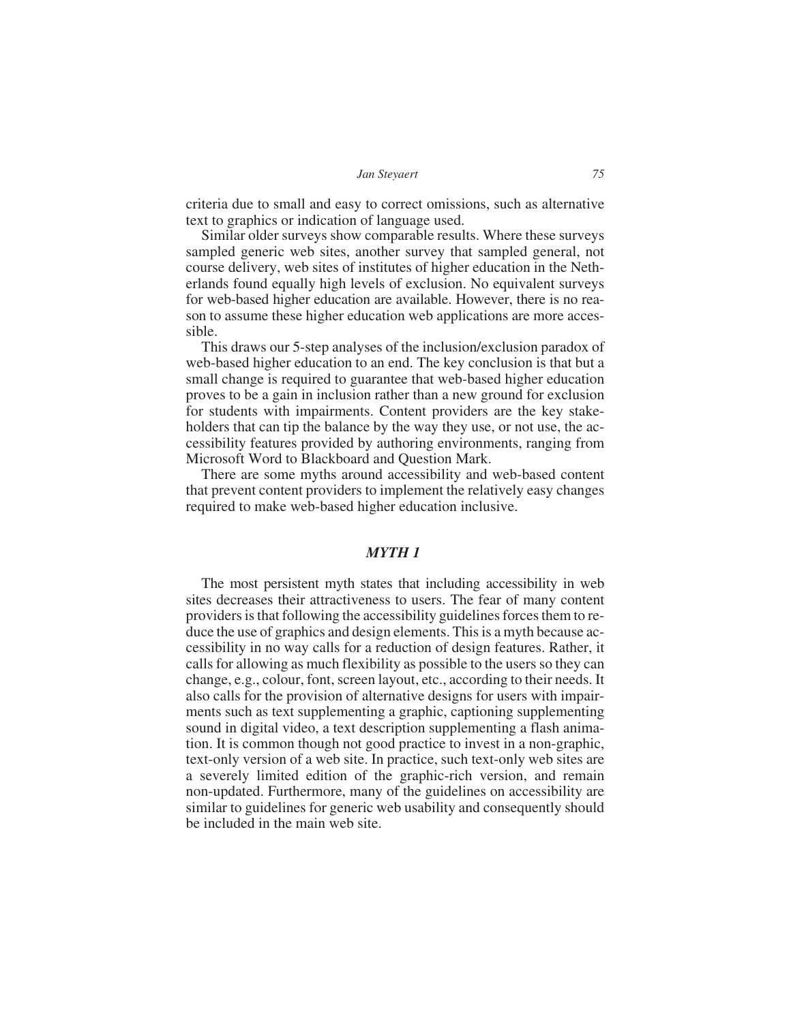| Jan Stevaert | 75 |  |
|--------------|----|--|
|              |    |  |

criteria due to small and easy to correct omissions, such as alternative text to graphics or indication of language used.

Similar older surveys show comparable results. Where these surveys sampled generic web sites, another survey that sampled general, not course delivery, web sites of institutes of higher education in the Netherlands found equally high levels of exclusion. No equivalent surveys for web-based higher education are available. However, there is no reason to assume these higher education web applications are more accessible.

This draws our 5-step analyses of the inclusion/exclusion paradox of web-based higher education to an end. The key conclusion is that but a small change is required to guarantee that web-based higher education proves to be a gain in inclusion rather than a new ground for exclusion for students with impairments. Content providers are the key stakeholders that can tip the balance by the way they use, or not use, the accessibility features provided by authoring environments, ranging from Microsoft Word to Blackboard and Question Mark.

There are some myths around accessibility and web-based content that prevent content providers to implement the relatively easy changes required to make web-based higher education inclusive.

# *MYTH 1*

The most persistent myth states that including accessibility in web sites decreases their attractiveness to users. The fear of many content providers is that following the accessibility guidelines forces them to reduce the use of graphics and design elements. This is a myth because accessibility in no way calls for a reduction of design features. Rather, it calls for allowing as much flexibility as possible to the users so they can change, e.g., colour, font, screen layout, etc., according to their needs. It also calls for the provision of alternative designs for users with impairments such as text supplementing a graphic, captioning supplementing sound in digital video, a text description supplementing a flash animation. It is common though not good practice to invest in a non-graphic, text-only version of a web site. In practice, such text-only web sites are a severely limited edition of the graphic-rich version, and remain non-updated. Furthermore, many of the guidelines on accessibility are similar to guidelines for generic web usability and consequently should be included in the main web site.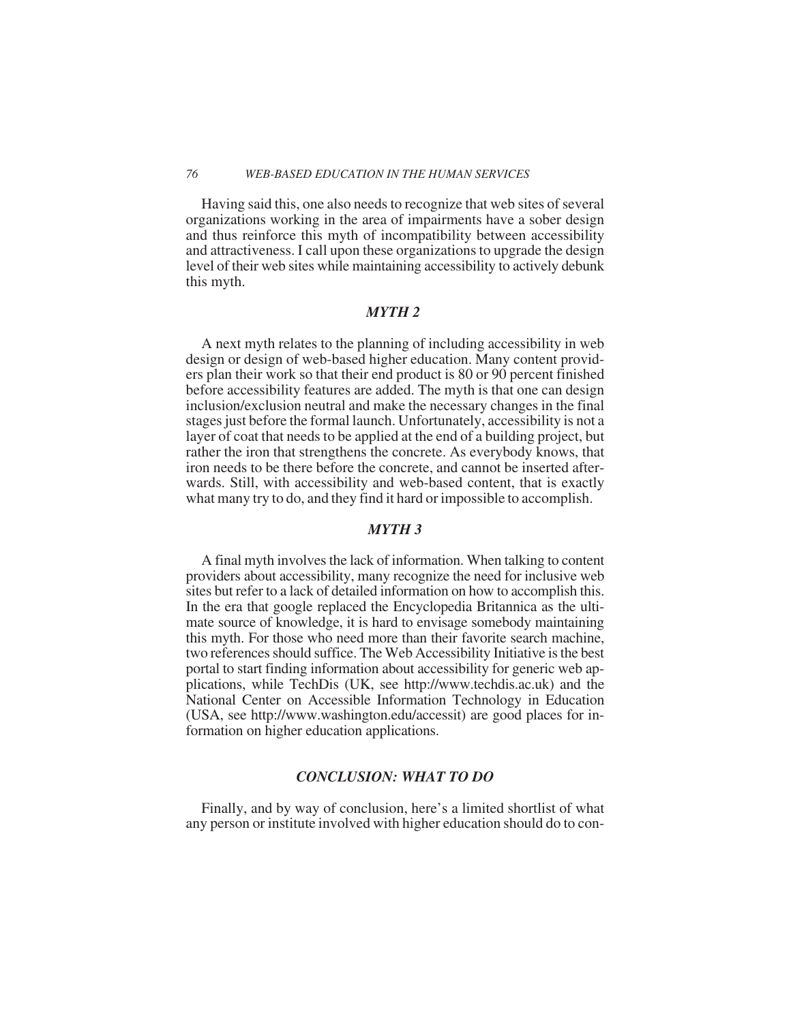#### *76 WEB-BASED EDUCATION IN THE HUMAN SERVICES*

Having said this, one also needs to recognize that web sites of several organizations working in the area of impairments have a sober design and thus reinforce this myth of incompatibility between accessibility and attractiveness. I call upon these organizations to upgrade the design level of their web sites while maintaining accessibility to actively debunk this myth.

## *MYTH 2*

A next myth relates to the planning of including accessibility in web design or design of web-based higher education. Many content providers plan their work so that their end product is 80 or 90 percent finished before accessibility features are added. The myth is that one can design inclusion/exclusion neutral and make the necessary changes in the final stages just before the formal launch. Unfortunately, accessibility is not a layer of coat that needs to be applied at the end of a building project, but rather the iron that strengthens the concrete. As everybody knows, that iron needs to be there before the concrete, and cannot be inserted afterwards. Still, with accessibility and web-based content, that is exactly what many try to do, and they find it hard or impossible to accomplish.

## *MYTH 3*

A final myth involves the lack of information. When talking to content providers about accessibility, many recognize the need for inclusive web sites but refer to a lack of detailed information on how to accomplish this. In the era that google replaced the Encyclopedia Britannica as the ultimate source of knowledge, it is hard to envisage somebody maintaining this myth. For those who need more than their favorite search machine, two references should suffice. The Web Accessibility Initiative is the best portal to start finding information about accessibility for generic web applications, while TechDis (UK, see [http://www.techdis.ac.uk\)](http://www.techdis.ac.uk) and the National Center on Accessible Information Technology in Education (USA, see [http://www.washington.edu/accessit\)](http://www.washington.edu/accessit) are good places for information on higher education applications.

# *CONCLUSION: WHAT TO DO*

Finally, and by way of conclusion, here's a limited shortlist of what any person or institute involved with higher education should do to con-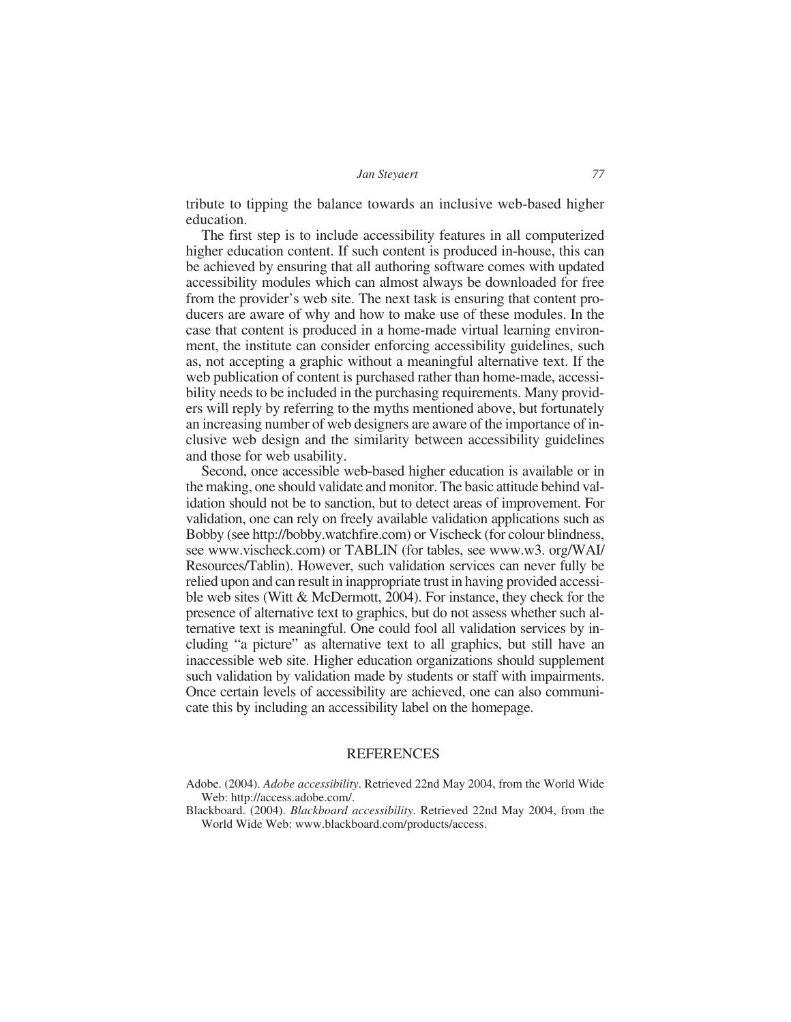tribute to tipping the balance towards an inclusive web-based higher education.

The first step is to include accessibility features in all computerized higher education content. If such content is produced in-house, this can be achieved by ensuring that all authoring software comes with updated accessibility modules which can almost always be downloaded for free from the provider's web site. The next task is ensuring that content producers are aware of why and how to make use of these modules. In the case that content is produced in a home-made virtual learning environment, the institute can consider enforcing accessibility guidelines, such as, not accepting a graphic without a meaningful alternative text. If the web publication of content is purchased rather than home-made, accessibility needs to be included in the purchasing requirements. Many providers will reply by referring to the myths mentioned above, but fortunately an increasing number of web designers are aware of the importance of inclusive web design and the similarity between accessibility guidelines and those for web usability.

Second, once accessible web-based higher education is available or in the making, one should validate and monitor. The basic attitude behind validation should not be to sanction, but to detect areas of improvement. For validation, one can rely on freely available validation applications such as Bobby (see [http://bobby.watchfire.com\)](http://bobby.watchfire.com) or Vischeck (for colour blindness, see www.vischeck.com) or TABLIN (for tables, see www.w3. org/WAI/ Resources/Tablin). However, such validation services can never fully be relied upon and can result in inappropriate trust in having provided accessible web sites (Witt & McDermott, 2004). For instance, they check for the presence of alternative text to graphics, but do not assess whether such alternative text is meaningful. One could fool all validation services by including "a picture" as alternative text to all graphics, but still have an inaccessible web site. Higher education organizations should supplement such validation by validation made by students or staff with impairments. Once certain levels of accessibility are achieved, one can also communicate this by including an accessibility label on the homepage.

## REFERENCES

- Adobe. (2004). *Adobe accessibility*. Retrieved 22nd May 2004, from the World Wide Web: [http://access.adobe.com/.](http://access.adobe.com/)
- Blackboard. (2004). *Blackboard accessibility*. Retrieved 22nd May 2004, from the World Wide Web: www.blackboard.com/products/access.